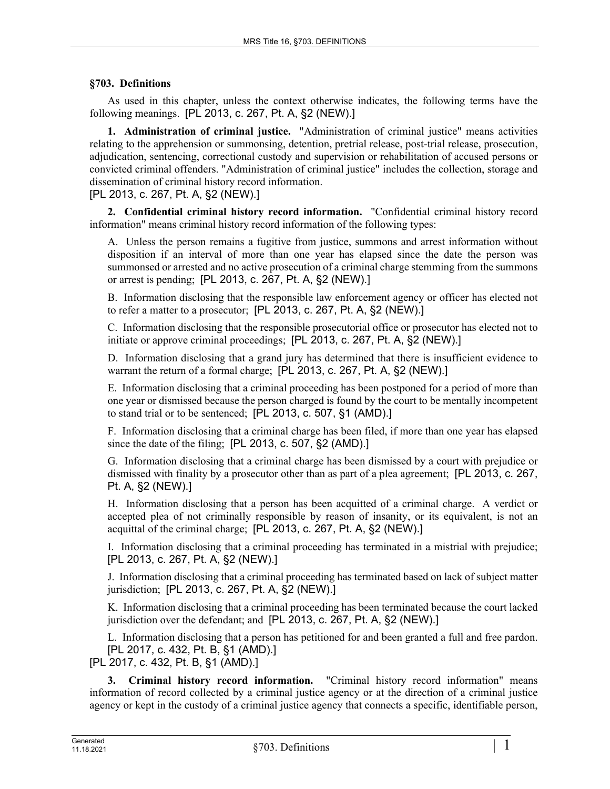## **§703. Definitions**

As used in this chapter, unless the context otherwise indicates, the following terms have the following meanings. [PL 2013, c. 267, Pt. A, §2 (NEW).]

**1. Administration of criminal justice.** "Administration of criminal justice" means activities relating to the apprehension or summonsing, detention, pretrial release, post-trial release, prosecution, adjudication, sentencing, correctional custody and supervision or rehabilitation of accused persons or convicted criminal offenders. "Administration of criminal justice" includes the collection, storage and dissemination of criminal history record information.

## [PL 2013, c. 267, Pt. A, §2 (NEW).]

**2. Confidential criminal history record information.** "Confidential criminal history record information" means criminal history record information of the following types:

A. Unless the person remains a fugitive from justice, summons and arrest information without disposition if an interval of more than one year has elapsed since the date the person was summonsed or arrested and no active prosecution of a criminal charge stemming from the summons or arrest is pending; [PL 2013, c. 267, Pt. A, §2 (NEW).]

B. Information disclosing that the responsible law enforcement agency or officer has elected not to refer a matter to a prosecutor; [PL 2013, c. 267, Pt. A, §2 (NEW).]

C. Information disclosing that the responsible prosecutorial office or prosecutor has elected not to initiate or approve criminal proceedings; [PL 2013, c. 267, Pt. A, §2 (NEW).]

D. Information disclosing that a grand jury has determined that there is insufficient evidence to warrant the return of a formal charge; [PL 2013, c. 267, Pt. A, §2 (NEW).]

E. Information disclosing that a criminal proceeding has been postponed for a period of more than one year or dismissed because the person charged is found by the court to be mentally incompetent to stand trial or to be sentenced; [PL 2013, c. 507, §1 (AMD).]

F. Information disclosing that a criminal charge has been filed, if more than one year has elapsed since the date of the filing; [PL 2013, c. 507, §2 (AMD).]

G. Information disclosing that a criminal charge has been dismissed by a court with prejudice or dismissed with finality by a prosecutor other than as part of a plea agreement; [PL 2013, c. 267, Pt. A, §2 (NEW).]

H. Information disclosing that a person has been acquitted of a criminal charge. A verdict or accepted plea of not criminally responsible by reason of insanity, or its equivalent, is not an acquittal of the criminal charge; [PL 2013, c. 267, Pt. A, §2 (NEW).]

I. Information disclosing that a criminal proceeding has terminated in a mistrial with prejudice; [PL 2013, c. 267, Pt. A, §2 (NEW).]

J. Information disclosing that a criminal proceeding has terminated based on lack of subject matter jurisdiction; [PL 2013, c. 267, Pt. A, §2 (NEW).]

K. Information disclosing that a criminal proceeding has been terminated because the court lacked jurisdiction over the defendant; and [PL 2013, c. 267, Pt. A, §2 (NEW).]

L. Information disclosing that a person has petitioned for and been granted a full and free pardon. [PL 2017, c. 432, Pt. B, §1 (AMD).]

[PL 2017, c. 432, Pt. B, §1 (AMD).]

**3. Criminal history record information.** "Criminal history record information" means information of record collected by a criminal justice agency or at the direction of a criminal justice agency or kept in the custody of a criminal justice agency that connects a specific, identifiable person,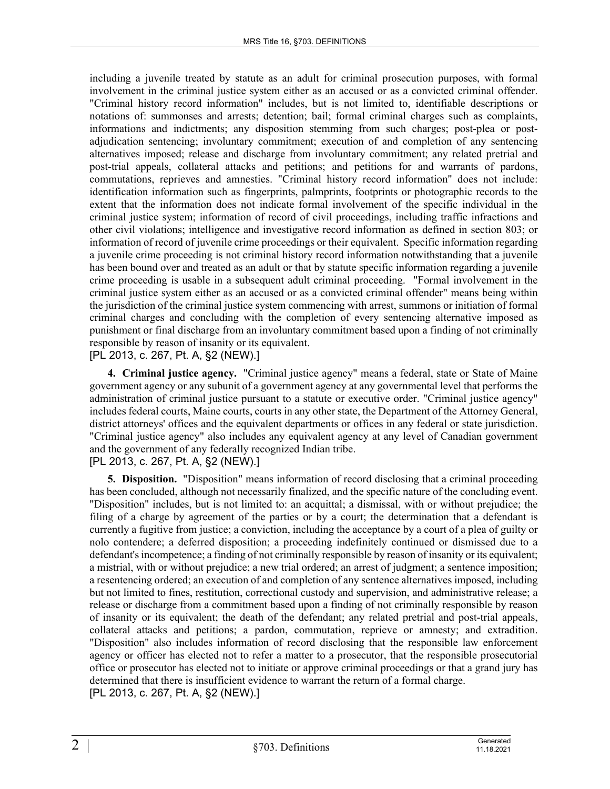including a juvenile treated by statute as an adult for criminal prosecution purposes, with formal involvement in the criminal justice system either as an accused or as a convicted criminal offender. "Criminal history record information" includes, but is not limited to, identifiable descriptions or notations of: summonses and arrests; detention; bail; formal criminal charges such as complaints, informations and indictments; any disposition stemming from such charges; post-plea or postadjudication sentencing; involuntary commitment; execution of and completion of any sentencing alternatives imposed; release and discharge from involuntary commitment; any related pretrial and post-trial appeals, collateral attacks and petitions; and petitions for and warrants of pardons, commutations, reprieves and amnesties. "Criminal history record information" does not include: identification information such as fingerprints, palmprints, footprints or photographic records to the extent that the information does not indicate formal involvement of the specific individual in the criminal justice system; information of record of civil proceedings, including traffic infractions and other civil violations; intelligence and investigative record information as defined in section 803; or information of record of juvenile crime proceedings or their equivalent. Specific information regarding a juvenile crime proceeding is not criminal history record information notwithstanding that a juvenile has been bound over and treated as an adult or that by statute specific information regarding a juvenile crime proceeding is usable in a subsequent adult criminal proceeding. "Formal involvement in the criminal justice system either as an accused or as a convicted criminal offender" means being within the jurisdiction of the criminal justice system commencing with arrest, summons or initiation of formal criminal charges and concluding with the completion of every sentencing alternative imposed as punishment or final discharge from an involuntary commitment based upon a finding of not criminally responsible by reason of insanity or its equivalent.

## [PL 2013, c. 267, Pt. A, §2 (NEW).]

**4. Criminal justice agency.** "Criminal justice agency" means a federal, state or State of Maine government agency or any subunit of a government agency at any governmental level that performs the administration of criminal justice pursuant to a statute or executive order. "Criminal justice agency" includes federal courts, Maine courts, courts in any other state, the Department of the Attorney General, district attorneys' offices and the equivalent departments or offices in any federal or state jurisdiction. "Criminal justice agency" also includes any equivalent agency at any level of Canadian government and the government of any federally recognized Indian tribe. [PL 2013, c. 267, Pt. A, §2 (NEW).]

**5. Disposition.** "Disposition" means information of record disclosing that a criminal proceeding has been concluded, although not necessarily finalized, and the specific nature of the concluding event. "Disposition" includes, but is not limited to: an acquittal; a dismissal, with or without prejudice; the filing of a charge by agreement of the parties or by a court; the determination that a defendant is currently a fugitive from justice; a conviction, including the acceptance by a court of a plea of guilty or nolo contendere; a deferred disposition; a proceeding indefinitely continued or dismissed due to a defendant's incompetence; a finding of not criminally responsible by reason of insanity or its equivalent; a mistrial, with or without prejudice; a new trial ordered; an arrest of judgment; a sentence imposition; a resentencing ordered; an execution of and completion of any sentence alternatives imposed, including but not limited to fines, restitution, correctional custody and supervision, and administrative release; a release or discharge from a commitment based upon a finding of not criminally responsible by reason of insanity or its equivalent; the death of the defendant; any related pretrial and post-trial appeals, collateral attacks and petitions; a pardon, commutation, reprieve or amnesty; and extradition. "Disposition" also includes information of record disclosing that the responsible law enforcement agency or officer has elected not to refer a matter to a prosecutor, that the responsible prosecutorial office or prosecutor has elected not to initiate or approve criminal proceedings or that a grand jury has determined that there is insufficient evidence to warrant the return of a formal charge. [PL 2013, c. 267, Pt. A, §2 (NEW).]